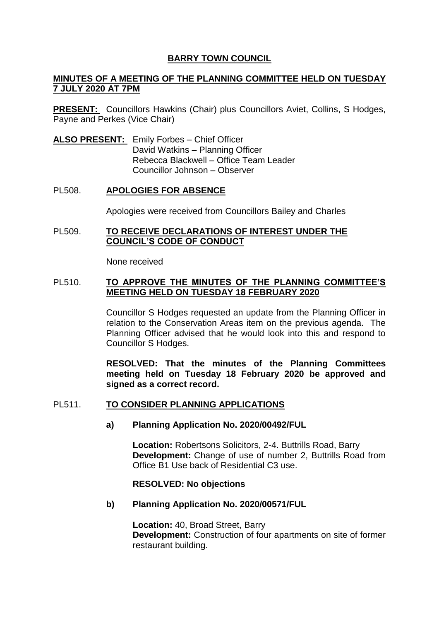# **BARRY TOWN COUNCIL**

# **MINUTES OF A MEETING OF THE PLANNING COMMITTEE HELD ON TUESDAY 7 JULY 2020 AT 7PM**

**PRESENT:** Councillors Hawkins (Chair) plus Councillors Aviet, Collins, S Hodges, Payne and Perkes (Vice Chair)

**ALSO PRESENT:** Emily Forbes – Chief Officer David Watkins – Planning Officer Rebecca Blackwell – Office Team Leader Councillor Johnson – Observer

## PL508. **APOLOGIES FOR ABSENCE**

Apologies were received from Councillors Bailey and Charles

## PL509. **TO RECEIVE DECLARATIONS OF INTEREST UNDER THE COUNCIL'S CODE OF CONDUCT**

None received

## PL510. **TO APPROVE THE MINUTES OF THE PLANNING COMMITTEE'S MEETING HELD ON TUESDAY 18 FEBRUARY 2020**

Councillor S Hodges requested an update from the Planning Officer in relation to the Conservation Areas item on the previous agenda. The Planning Officer advised that he would look into this and respond to Councillor S Hodges.

**RESOLVED: That the minutes of the Planning Committees meeting held on Tuesday 18 February 2020 be approved and signed as a correct record.** 

## PL511. **TO CONSIDER PLANNING APPLICATIONS**

## **a) Planning Application No. 2020/00492/FUL**

**Location:** Robertsons Solicitors, 2-4. Buttrills Road, Barry **Development:** Change of use of number 2, Buttrills Road from Office B1 Use back of Residential C3 use.

## **RESOLVED: No objections**

## **b) Planning Application No. 2020/00571/FUL**

**Location:** 40, Broad Street, Barry **Development:** Construction of four apartments on site of former restaurant building.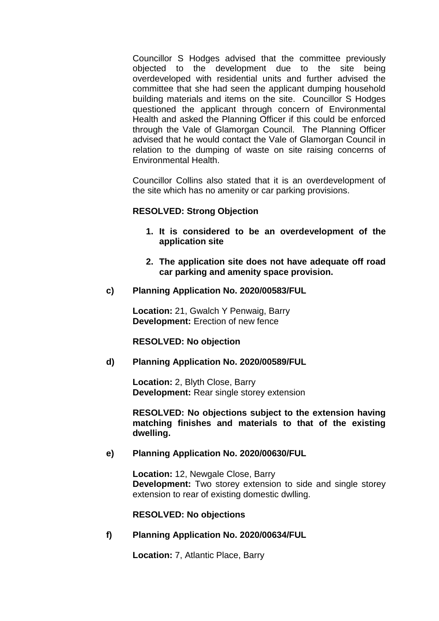Councillor S Hodges advised that the committee previously objected to the development due to the site being overdeveloped with residential units and further advised the committee that she had seen the applicant dumping household building materials and items on the site. Councillor S Hodges questioned the applicant through concern of Environmental Health and asked the Planning Officer if this could be enforced through the Vale of Glamorgan Council. The Planning Officer advised that he would contact the Vale of Glamorgan Council in relation to the dumping of waste on site raising concerns of Environmental Health.

Councillor Collins also stated that it is an overdevelopment of the site which has no amenity or car parking provisions.

## **RESOLVED: Strong Objection**

- **1. It is considered to be an overdevelopment of the application site**
- **2. The application site does not have adequate off road car parking and amenity space provision.**
- **c) Planning Application No. 2020/00583/FUL**

**Location:** 21, Gwalch Y Penwaig, Barry **Development:** Erection of new fence

#### **RESOLVED: No objection**

#### **d) Planning Application No. 2020/00589/FUL**

**Location:** 2, Blyth Close, Barry **Development:** Rear single storey extension

**RESOLVED: No objections subject to the extension having matching finishes and materials to that of the existing dwelling.** 

## **e) Planning Application No. 2020/00630/FUL**

**Location:** 12, Newgale Close, Barry **Development:** Two storey extension to side and single storey extension to rear of existing domestic dwlling.

**RESOLVED: No objections**

**f) Planning Application No. 2020/00634/FUL**

**Location:** 7, Atlantic Place, Barry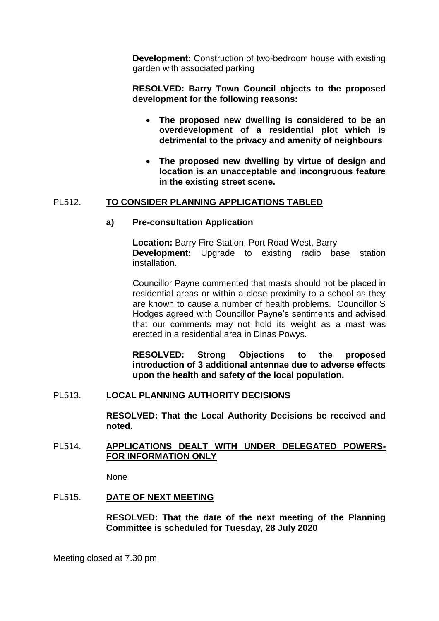**Development:** Construction of two-bedroom house with existing garden with associated parking

**RESOLVED: Barry Town Council objects to the proposed development for the following reasons:**

- **The proposed new dwelling is considered to be an overdevelopment of a residential plot which is detrimental to the privacy and amenity of neighbours**
- **The proposed new dwelling by virtue of design and location is an unacceptable and incongruous feature in the existing street scene.**

# PL512. **TO CONSIDER PLANNING APPLICATIONS TABLED**

## **a) Pre-consultation Application**

**Location:** Barry Fire Station, Port Road West, Barry **Development:** Upgrade to existing radio base station installation.

Councillor Payne commented that masts should not be placed in residential areas or within a close proximity to a school as they are known to cause a number of health problems. Councillor S Hodges agreed with Councillor Payne's sentiments and advised that our comments may not hold its weight as a mast was erected in a residential area in Dinas Powys.

**RESOLVED: Strong Objections to the proposed introduction of 3 additional antennae due to adverse effects upon the health and safety of the local population.** 

## PL513. **LOCAL PLANNING AUTHORITY DECISIONS**

**RESOLVED: That the Local Authority Decisions be received and noted.** 

## PL514. **APPLICATIONS DEALT WITH UNDER DELEGATED POWERS-FOR INFORMATION ONLY**

None

# PL515. **DATE OF NEXT MEETING**

**RESOLVED: That the date of the next meeting of the Planning Committee is scheduled for Tuesday, 28 July 2020**

Meeting closed at 7.30 pm